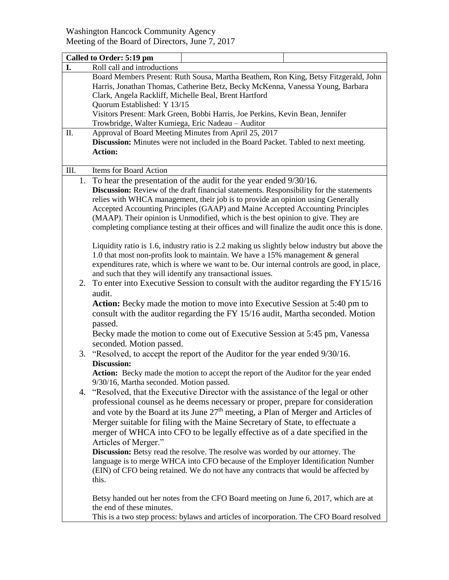|      | Called to Order: 5:19 pm                                                                                                                                                                                                                                                                                                                                                                                                                                                                                                                                                                                                                                                                                                                                                                                                                                                                                                                                                                                                                                                                                                                                                                                                                                   |  |  |
|------|------------------------------------------------------------------------------------------------------------------------------------------------------------------------------------------------------------------------------------------------------------------------------------------------------------------------------------------------------------------------------------------------------------------------------------------------------------------------------------------------------------------------------------------------------------------------------------------------------------------------------------------------------------------------------------------------------------------------------------------------------------------------------------------------------------------------------------------------------------------------------------------------------------------------------------------------------------------------------------------------------------------------------------------------------------------------------------------------------------------------------------------------------------------------------------------------------------------------------------------------------------|--|--|
| I.   | Roll call and introductions                                                                                                                                                                                                                                                                                                                                                                                                                                                                                                                                                                                                                                                                                                                                                                                                                                                                                                                                                                                                                                                                                                                                                                                                                                |  |  |
|      | Board Members Present: Ruth Sousa, Martha Beathem, Ron King, Betsy Fitzgerald, John                                                                                                                                                                                                                                                                                                                                                                                                                                                                                                                                                                                                                                                                                                                                                                                                                                                                                                                                                                                                                                                                                                                                                                        |  |  |
|      | Harris, Jonathan Thomas, Catherine Betz, Becky McKenna, Vanessa Young, Barbara                                                                                                                                                                                                                                                                                                                                                                                                                                                                                                                                                                                                                                                                                                                                                                                                                                                                                                                                                                                                                                                                                                                                                                             |  |  |
|      | Clark, Angela Rackliff, Michelle Beal, Brent Hartford                                                                                                                                                                                                                                                                                                                                                                                                                                                                                                                                                                                                                                                                                                                                                                                                                                                                                                                                                                                                                                                                                                                                                                                                      |  |  |
|      | Quorum Established: Y 13/15                                                                                                                                                                                                                                                                                                                                                                                                                                                                                                                                                                                                                                                                                                                                                                                                                                                                                                                                                                                                                                                                                                                                                                                                                                |  |  |
|      |                                                                                                                                                                                                                                                                                                                                                                                                                                                                                                                                                                                                                                                                                                                                                                                                                                                                                                                                                                                                                                                                                                                                                                                                                                                            |  |  |
|      | Visitors Present: Mark Green, Bobbi Harris, Joe Perkins, Kevin Bean, Jennifer                                                                                                                                                                                                                                                                                                                                                                                                                                                                                                                                                                                                                                                                                                                                                                                                                                                                                                                                                                                                                                                                                                                                                                              |  |  |
|      | Trowbridge, Walter Kumiega, Eric Nadeau - Auditor                                                                                                                                                                                                                                                                                                                                                                                                                                                                                                                                                                                                                                                                                                                                                                                                                                                                                                                                                                                                                                                                                                                                                                                                          |  |  |
| П.   | Approval of Board Meeting Minutes from April 25, 2017                                                                                                                                                                                                                                                                                                                                                                                                                                                                                                                                                                                                                                                                                                                                                                                                                                                                                                                                                                                                                                                                                                                                                                                                      |  |  |
|      | Discussion: Minutes were not included in the Board Packet. Tabled to next meeting.                                                                                                                                                                                                                                                                                                                                                                                                                                                                                                                                                                                                                                                                                                                                                                                                                                                                                                                                                                                                                                                                                                                                                                         |  |  |
|      | <b>Action:</b>                                                                                                                                                                                                                                                                                                                                                                                                                                                                                                                                                                                                                                                                                                                                                                                                                                                                                                                                                                                                                                                                                                                                                                                                                                             |  |  |
|      |                                                                                                                                                                                                                                                                                                                                                                                                                                                                                                                                                                                                                                                                                                                                                                                                                                                                                                                                                                                                                                                                                                                                                                                                                                                            |  |  |
| III. | Items for Board Action                                                                                                                                                                                                                                                                                                                                                                                                                                                                                                                                                                                                                                                                                                                                                                                                                                                                                                                                                                                                                                                                                                                                                                                                                                     |  |  |
|      | 1. To hear the presentation of the audit for the year ended 9/30/16.                                                                                                                                                                                                                                                                                                                                                                                                                                                                                                                                                                                                                                                                                                                                                                                                                                                                                                                                                                                                                                                                                                                                                                                       |  |  |
|      | <b>Discussion:</b> Review of the draft financial statements. Responsibility for the statements                                                                                                                                                                                                                                                                                                                                                                                                                                                                                                                                                                                                                                                                                                                                                                                                                                                                                                                                                                                                                                                                                                                                                             |  |  |
|      | relies with WHCA management, their job is to provide an opinion using Generally                                                                                                                                                                                                                                                                                                                                                                                                                                                                                                                                                                                                                                                                                                                                                                                                                                                                                                                                                                                                                                                                                                                                                                            |  |  |
|      | Accepted Accounting Principles (GAAP) and Maine Accepted Accounting Principles                                                                                                                                                                                                                                                                                                                                                                                                                                                                                                                                                                                                                                                                                                                                                                                                                                                                                                                                                                                                                                                                                                                                                                             |  |  |
|      | (MAAP). Their opinion is Unmodified, which is the best opinion to give. They are                                                                                                                                                                                                                                                                                                                                                                                                                                                                                                                                                                                                                                                                                                                                                                                                                                                                                                                                                                                                                                                                                                                                                                           |  |  |
|      | completing compliance testing at their offices and will finalize the audit once this is done.                                                                                                                                                                                                                                                                                                                                                                                                                                                                                                                                                                                                                                                                                                                                                                                                                                                                                                                                                                                                                                                                                                                                                              |  |  |
|      |                                                                                                                                                                                                                                                                                                                                                                                                                                                                                                                                                                                                                                                                                                                                                                                                                                                                                                                                                                                                                                                                                                                                                                                                                                                            |  |  |
|      | Liquidity ratio is 1.6, industry ratio is 2.2 making us slightly below industry but above the                                                                                                                                                                                                                                                                                                                                                                                                                                                                                                                                                                                                                                                                                                                                                                                                                                                                                                                                                                                                                                                                                                                                                              |  |  |
|      | 1.0 that most non-profits look to maintain. We have a 15% management & general                                                                                                                                                                                                                                                                                                                                                                                                                                                                                                                                                                                                                                                                                                                                                                                                                                                                                                                                                                                                                                                                                                                                                                             |  |  |
|      |                                                                                                                                                                                                                                                                                                                                                                                                                                                                                                                                                                                                                                                                                                                                                                                                                                                                                                                                                                                                                                                                                                                                                                                                                                                            |  |  |
|      | expenditures rate, which is where we want to be. Our internal controls are good, in place,                                                                                                                                                                                                                                                                                                                                                                                                                                                                                                                                                                                                                                                                                                                                                                                                                                                                                                                                                                                                                                                                                                                                                                 |  |  |
|      |                                                                                                                                                                                                                                                                                                                                                                                                                                                                                                                                                                                                                                                                                                                                                                                                                                                                                                                                                                                                                                                                                                                                                                                                                                                            |  |  |
|      |                                                                                                                                                                                                                                                                                                                                                                                                                                                                                                                                                                                                                                                                                                                                                                                                                                                                                                                                                                                                                                                                                                                                                                                                                                                            |  |  |
|      |                                                                                                                                                                                                                                                                                                                                                                                                                                                                                                                                                                                                                                                                                                                                                                                                                                                                                                                                                                                                                                                                                                                                                                                                                                                            |  |  |
|      | <b>Action:</b> Becky made the motion to move into Executive Session at 5:40 pm to                                                                                                                                                                                                                                                                                                                                                                                                                                                                                                                                                                                                                                                                                                                                                                                                                                                                                                                                                                                                                                                                                                                                                                          |  |  |
|      |                                                                                                                                                                                                                                                                                                                                                                                                                                                                                                                                                                                                                                                                                                                                                                                                                                                                                                                                                                                                                                                                                                                                                                                                                                                            |  |  |
|      |                                                                                                                                                                                                                                                                                                                                                                                                                                                                                                                                                                                                                                                                                                                                                                                                                                                                                                                                                                                                                                                                                                                                                                                                                                                            |  |  |
|      |                                                                                                                                                                                                                                                                                                                                                                                                                                                                                                                                                                                                                                                                                                                                                                                                                                                                                                                                                                                                                                                                                                                                                                                                                                                            |  |  |
|      |                                                                                                                                                                                                                                                                                                                                                                                                                                                                                                                                                                                                                                                                                                                                                                                                                                                                                                                                                                                                                                                                                                                                                                                                                                                            |  |  |
|      |                                                                                                                                                                                                                                                                                                                                                                                                                                                                                                                                                                                                                                                                                                                                                                                                                                                                                                                                                                                                                                                                                                                                                                                                                                                            |  |  |
|      |                                                                                                                                                                                                                                                                                                                                                                                                                                                                                                                                                                                                                                                                                                                                                                                                                                                                                                                                                                                                                                                                                                                                                                                                                                                            |  |  |
|      |                                                                                                                                                                                                                                                                                                                                                                                                                                                                                                                                                                                                                                                                                                                                                                                                                                                                                                                                                                                                                                                                                                                                                                                                                                                            |  |  |
|      |                                                                                                                                                                                                                                                                                                                                                                                                                                                                                                                                                                                                                                                                                                                                                                                                                                                                                                                                                                                                                                                                                                                                                                                                                                                            |  |  |
|      |                                                                                                                                                                                                                                                                                                                                                                                                                                                                                                                                                                                                                                                                                                                                                                                                                                                                                                                                                                                                                                                                                                                                                                                                                                                            |  |  |
| 4.   |                                                                                                                                                                                                                                                                                                                                                                                                                                                                                                                                                                                                                                                                                                                                                                                                                                                                                                                                                                                                                                                                                                                                                                                                                                                            |  |  |
|      | professional counsel as he deems necessary or proper, prepare for consideration                                                                                                                                                                                                                                                                                                                                                                                                                                                                                                                                                                                                                                                                                                                                                                                                                                                                                                                                                                                                                                                                                                                                                                            |  |  |
|      |                                                                                                                                                                                                                                                                                                                                                                                                                                                                                                                                                                                                                                                                                                                                                                                                                                                                                                                                                                                                                                                                                                                                                                                                                                                            |  |  |
|      |                                                                                                                                                                                                                                                                                                                                                                                                                                                                                                                                                                                                                                                                                                                                                                                                                                                                                                                                                                                                                                                                                                                                                                                                                                                            |  |  |
|      |                                                                                                                                                                                                                                                                                                                                                                                                                                                                                                                                                                                                                                                                                                                                                                                                                                                                                                                                                                                                                                                                                                                                                                                                                                                            |  |  |
|      |                                                                                                                                                                                                                                                                                                                                                                                                                                                                                                                                                                                                                                                                                                                                                                                                                                                                                                                                                                                                                                                                                                                                                                                                                                                            |  |  |
|      |                                                                                                                                                                                                                                                                                                                                                                                                                                                                                                                                                                                                                                                                                                                                                                                                                                                                                                                                                                                                                                                                                                                                                                                                                                                            |  |  |
|      |                                                                                                                                                                                                                                                                                                                                                                                                                                                                                                                                                                                                                                                                                                                                                                                                                                                                                                                                                                                                                                                                                                                                                                                                                                                            |  |  |
|      |                                                                                                                                                                                                                                                                                                                                                                                                                                                                                                                                                                                                                                                                                                                                                                                                                                                                                                                                                                                                                                                                                                                                                                                                                                                            |  |  |
|      |                                                                                                                                                                                                                                                                                                                                                                                                                                                                                                                                                                                                                                                                                                                                                                                                                                                                                                                                                                                                                                                                                                                                                                                                                                                            |  |  |
|      | this.                                                                                                                                                                                                                                                                                                                                                                                                                                                                                                                                                                                                                                                                                                                                                                                                                                                                                                                                                                                                                                                                                                                                                                                                                                                      |  |  |
|      |                                                                                                                                                                                                                                                                                                                                                                                                                                                                                                                                                                                                                                                                                                                                                                                                                                                                                                                                                                                                                                                                                                                                                                                                                                                            |  |  |
|      | Betsy handed out her notes from the CFO Board meeting on June 6, 2017, which are at                                                                                                                                                                                                                                                                                                                                                                                                                                                                                                                                                                                                                                                                                                                                                                                                                                                                                                                                                                                                                                                                                                                                                                        |  |  |
|      | the end of these minutes.                                                                                                                                                                                                                                                                                                                                                                                                                                                                                                                                                                                                                                                                                                                                                                                                                                                                                                                                                                                                                                                                                                                                                                                                                                  |  |  |
|      | This is a two step process: bylaws and articles of incorporation. The CFO Board resolved                                                                                                                                                                                                                                                                                                                                                                                                                                                                                                                                                                                                                                                                                                                                                                                                                                                                                                                                                                                                                                                                                                                                                                   |  |  |
|      | and such that they will identify any transactional issues.<br>2. To enter into Executive Session to consult with the auditor regarding the FY15/16<br>audit.<br>consult with the auditor regarding the FY 15/16 audit, Martha seconded. Motion<br>passed.<br>Becky made the motion to come out of Executive Session at 5:45 pm, Vanessa<br>seconded. Motion passed.<br>3. "Resolved, to accept the report of the Auditor for the year ended 9/30/16.<br><b>Discussion:</b><br>Action: Becky made the motion to accept the report of the Auditor for the year ended<br>9/30/16, Martha seconded. Motion passed.<br>"Resolved, that the Executive Director with the assistance of the legal or other<br>and vote by the Board at its June 27 <sup>th</sup> meeting, a Plan of Merger and Articles of<br>Merger suitable for filing with the Maine Secretary of State, to effectuate a<br>merger of WHCA into CFO to be legally effective as of a date specified in the<br>Articles of Merger."<br>Discussion: Betsy read the resolve. The resolve was worded by our attorney. The<br>language is to merge WHCA into CFO because of the Employer Identification Number<br>(EIN) of CFO being retained. We do not have any contracts that would be affected by |  |  |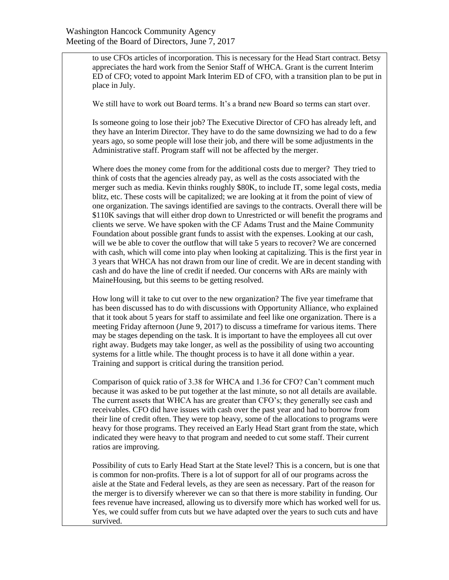to use CFOs articles of incorporation. This is necessary for the Head Start contract. Betsy appreciates the hard work from the Senior Staff of WHCA. Grant is the current Interim ED of CFO; voted to appoint Mark Interim ED of CFO, with a transition plan to be put in place in July.

We still have to work out Board terms. It's a brand new Board so terms can start over.

Is someone going to lose their job? The Executive Director of CFO has already left, and they have an Interim Director. They have to do the same downsizing we had to do a few years ago, so some people will lose their job, and there will be some adjustments in the Administrative staff. Program staff will not be affected by the merger.

Where does the money come from for the additional costs due to merger? They tried to think of costs that the agencies already pay, as well as the costs associated with the merger such as media. Kevin thinks roughly \$80K, to include IT, some legal costs, media blitz, etc. These costs will be capitalized; we are looking at it from the point of view of one organization. The savings identified are savings to the contracts. Overall there will be \$110K savings that will either drop down to Unrestricted or will benefit the programs and clients we serve. We have spoken with the CF Adams Trust and the Maine Community Foundation about possible grant funds to assist with the expenses. Looking at our cash, will we be able to cover the outflow that will take 5 years to recover? We are concerned with cash, which will come into play when looking at capitalizing. This is the first year in 3 years that WHCA has not drawn from our line of credit. We are in decent standing with cash and do have the line of credit if needed. Our concerns with ARs are mainly with MaineHousing, but this seems to be getting resolved.

How long will it take to cut over to the new organization? The five year timeframe that has been discussed has to do with discussions with Opportunity Alliance, who explained that it took about 5 years for staff to assimilate and feel like one organization. There is a meeting Friday afternoon (June 9, 2017) to discuss a timeframe for various items. There may be stages depending on the task. It is important to have the employees all cut over right away. Budgets may take longer, as well as the possibility of using two accounting systems for a little while. The thought process is to have it all done within a year. Training and support is critical during the transition period.

Comparison of quick ratio of 3.38 for WHCA and 1.36 for CFO? Can't comment much because it was asked to be put together at the last minute, so not all details are available. The current assets that WHCA has are greater than CFO's; they generally see cash and receivables. CFO did have issues with cash over the past year and had to borrow from their line of credit often. They were top heavy, some of the allocations to programs were heavy for those programs. They received an Early Head Start grant from the state, which indicated they were heavy to that program and needed to cut some staff. Their current ratios are improving.

Possibility of cuts to Early Head Start at the State level? This is a concern, but is one that is common for non-profits. There is a lot of support for all of our programs across the aisle at the State and Federal levels, as they are seen as necessary. Part of the reason for the merger is to diversify wherever we can so that there is more stability in funding. Our fees revenue have increased, allowing us to diversify more which has worked well for us. Yes, we could suffer from cuts but we have adapted over the years to such cuts and have survived.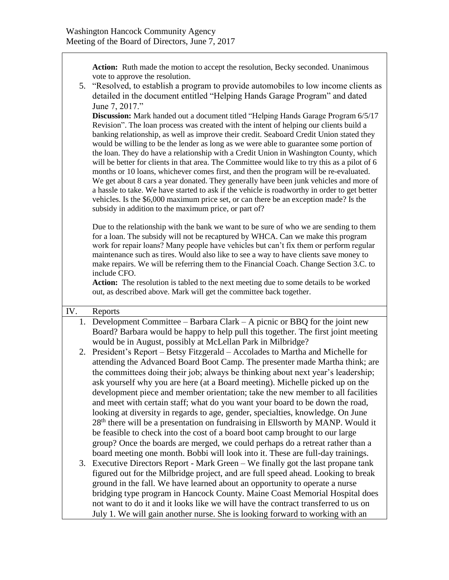**Action:** Ruth made the motion to accept the resolution, Becky seconded. Unanimous vote to approve the resolution.

5. "Resolved, to establish a program to provide automobiles to low income clients as detailed in the document entitled "Helping Hands Garage Program" and dated June 7, 2017."

**Discussion:** Mark handed out a document titled "Helping Hands Garage Program 6/5/17 Revision". The loan process was created with the intent of helping our clients build a banking relationship, as well as improve their credit. Seaboard Credit Union stated they would be willing to be the lender as long as we were able to guarantee some portion of the loan. They do have a relationship with a Credit Union in Washington County, which will be better for clients in that area. The Committee would like to try this as a pilot of 6 months or 10 loans, whichever comes first, and then the program will be re-evaluated. We get about 8 cars a year donated. They generally have been junk vehicles and more of a hassle to take. We have started to ask if the vehicle is roadworthy in order to get better vehicles. Is the \$6,000 maximum price set, or can there be an exception made? Is the subsidy in addition to the maximum price, or part of?

Due to the relationship with the bank we want to be sure of who we are sending to them for a loan. The subsidy will not be recaptured by WHCA. Can we make this program work for repair loans? Many people have vehicles but can't fix them or perform regular maintenance such as tires. Would also like to see a way to have clients save money to make repairs. We will be referring them to the Financial Coach. Change Section 3.C. to include CFO.

**Action:** The resolution is tabled to the next meeting due to some details to be worked out, as described above. Mark will get the committee back together.

### IV. Reports

- 1. Development Committee Barbara Clark A picnic or BBQ for the joint new Board? Barbara would be happy to help pull this together. The first joint meeting would be in August, possibly at McLellan Park in Milbridge?
- 2. President's Report Betsy Fitzgerald Accolades to Martha and Michelle for attending the Advanced Board Boot Camp. The presenter made Martha think; are the committees doing their job; always be thinking about next year's leadership; ask yourself why you are here (at a Board meeting). Michelle picked up on the development piece and member orientation; take the new member to all facilities and meet with certain staff; what do you want your board to be down the road, looking at diversity in regards to age, gender, specialties, knowledge. On June  $28<sup>th</sup>$  there will be a presentation on fundraising in Ellsworth by MANP. Would it be feasible to check into the cost of a board boot camp brought to our large group? Once the boards are merged, we could perhaps do a retreat rather than a board meeting one month. Bobbi will look into it. These are full-day trainings.
- 3. Executive Directors Report Mark Green We finally got the last propane tank figured out for the Milbridge project, and are full speed ahead. Looking to break ground in the fall. We have learned about an opportunity to operate a nurse bridging type program in Hancock County. Maine Coast Memorial Hospital does not want to do it and it looks like we will have the contract transferred to us on July 1. We will gain another nurse. She is looking forward to working with an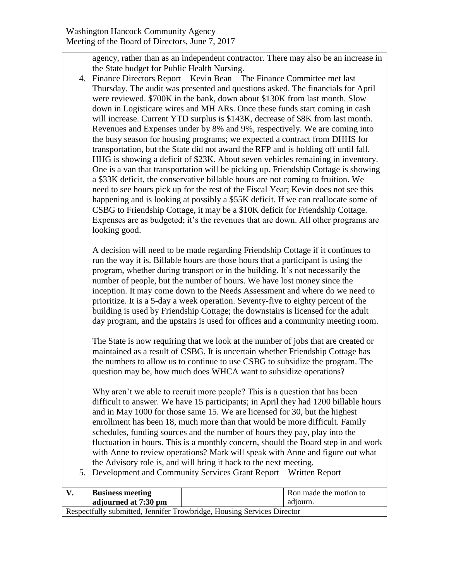agency, rather than as an independent contractor. There may also be an increase in the State budget for Public Health Nursing.

4. Finance Directors Report – Kevin Bean – The Finance Committee met last Thursday. The audit was presented and questions asked. The financials for April were reviewed. \$700K in the bank, down about \$130K from last month. Slow down in Logisticare wires and MH ARs. Once these funds start coming in cash will increase. Current YTD surplus is \$143K, decrease of \$8K from last month. Revenues and Expenses under by 8% and 9%, respectively. We are coming into the busy season for housing programs; we expected a contract from DHHS for transportation, but the State did not award the RFP and is holding off until fall. HHG is showing a deficit of \$23K. About seven vehicles remaining in inventory. One is a van that transportation will be picking up. Friendship Cottage is showing a \$33K deficit, the conservative billable hours are not coming to fruition. We need to see hours pick up for the rest of the Fiscal Year; Kevin does not see this happening and is looking at possibly a \$55K deficit. If we can reallocate some of CSBG to Friendship Cottage, it may be a \$10K deficit for Friendship Cottage. Expenses are as budgeted; it's the revenues that are down. All other programs are looking good.

A decision will need to be made regarding Friendship Cottage if it continues to run the way it is. Billable hours are those hours that a participant is using the program, whether during transport or in the building. It's not necessarily the number of people, but the number of hours. We have lost money since the inception. It may come down to the Needs Assessment and where do we need to prioritize. It is a 5-day a week operation. Seventy-five to eighty percent of the building is used by Friendship Cottage; the downstairs is licensed for the adult day program, and the upstairs is used for offices and a community meeting room.

The State is now requiring that we look at the number of jobs that are created or maintained as a result of CSBG. It is uncertain whether Friendship Cottage has the numbers to allow us to continue to use CSBG to subsidize the program. The question may be, how much does WHCA want to subsidize operations?

Why aren't we able to recruit more people? This is a question that has been difficult to answer. We have 15 participants; in April they had 1200 billable hours and in May 1000 for those same 15. We are licensed for 30, but the highest enrollment has been 18, much more than that would be more difficult. Family schedules, funding sources and the number of hours they pay, play into the fluctuation in hours. This is a monthly concern, should the Board step in and work with Anne to review operations? Mark will speak with Anne and figure out what the Advisory role is, and will bring it back to the next meeting.

5. Development and Community Services Grant Report – Written Report

| <b>Business meeting</b>                                                |  | Ron made the motion to |  |  |
|------------------------------------------------------------------------|--|------------------------|--|--|
| adjourned at 7:30 pm                                                   |  | adjourn.               |  |  |
| Respectfully submitted, Jennifer Trowbridge, Housing Services Director |  |                        |  |  |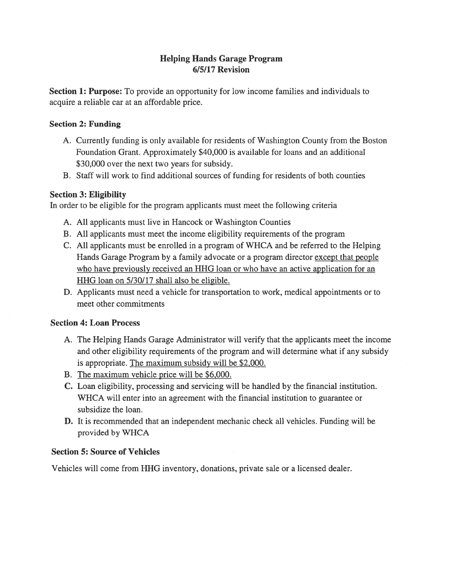# **Helping Hands Garage Program** 6/5/17 Revision

**Section 1: Purpose:** To provide an opportunity for low income families and individuals to acquire a reliable car at an affordable price.

# **Section 2: Funding**

- A. Currently funding is only available for residents of Washington County from the Boston Foundation Grant. Approximately \$40,000 is available for loans and an additional \$30,000 over the next two years for subsidy.
- B. Staff will work to find additional sources of funding for residents of both counties

## **Section 3: Eligibility**

In order to be eligible for the program applicants must meet the following criteria

- A. All applicants must live in Hancock or Washington Counties
- B. All applicants must meet the income eligibility requirements of the program
- C. All applicants must be enrolled in a program of WHCA and be referred to the Helping Hands Garage Program by a family advocate or a program director except that people who have previously received an HHG loan or who have an active application for an HHG loan on 5/30/17 shall also be eligible.
- D. Applicants must need a vehicle for transportation to work, medical appointments or to meet other commitments

### **Section 4: Loan Process**

- A. The Helping Hands Garage Administrator will verify that the applicants meet the income and other eligibility requirements of the program and will determine what if any subsidy is appropriate. The maximum subsidy will be \$2,000.
- B. The maximum vehicle price will be \$6,000.
- C. Loan eligibility, processing and servicing will be handled by the financial institution. WHCA will enter into an agreement with the financial institution to guarantee or subsidize the loan.
- **D.** It is recommended that an independent mechanic check all vehicles. Funding will be provided by WHCA

# **Section 5: Source of Vehicles**

Vehicles will come from HHG inventory, donations, private sale or a licensed dealer.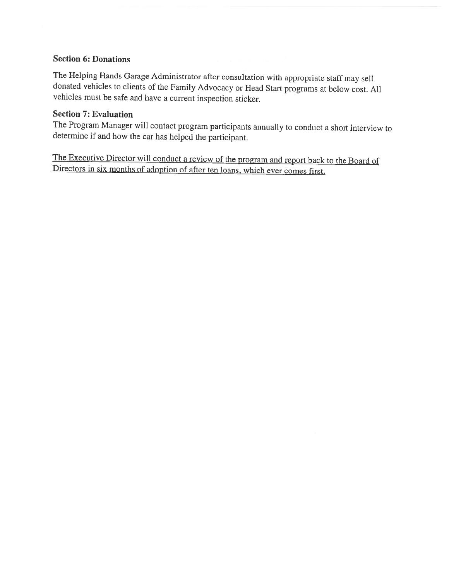### **Section 6: Donations**

The Helping Hands Garage Administrator after consultation with appropriate staff may sell donated vehicles to clients of the Family Advocacy or Head Start programs at below cost. All vehicles must be safe and have a current inspection sticker.

# **Section 7: Evaluation**

The Program Manager will contact program participants annually to conduct a short interview to determine if and how the car has helped the participant.

The Executive Director will conduct a review of the program and report back to the Board of Directors in six months of adoption of after ten loans, which ever comes first.